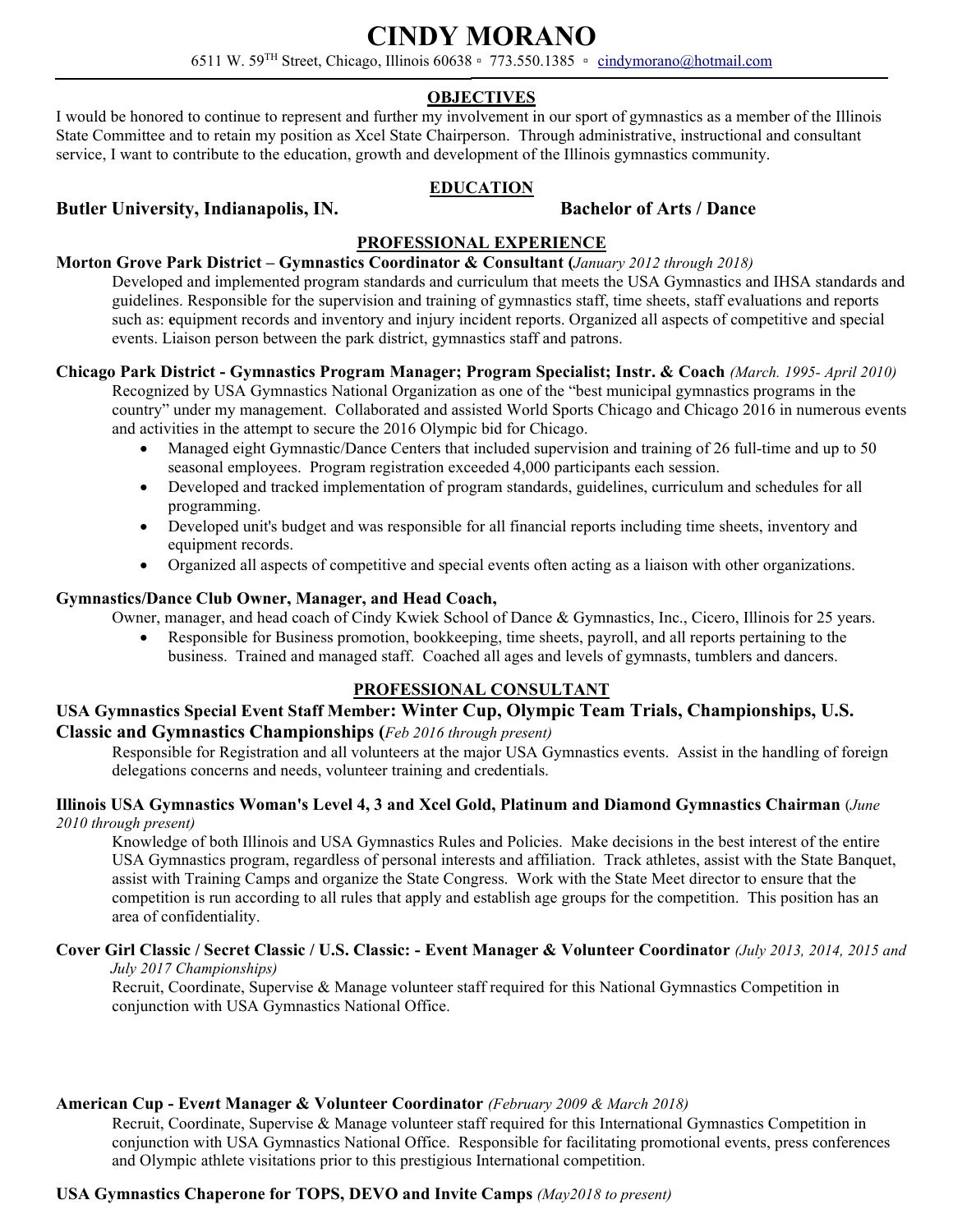# **CINDY MORANO**

6511 W. 59TH Street, Chicago, Illinois 60638 ▫ 773.550.1385 ▫ [cindymorano@hotmail.com](mailto:cindymorano@hotmail.com)

# **OBJECTIVES**

I would be honored to continue to represent and further my involvement in our sport of gymnastics as a member of the Illinois State Committee and to retain my position as Xcel State Chairperson. Through administrative, instructional and consultant service, I want to contribute to the education, growth and development of the Illinois gymnastics community.

### **EDUCATION**

### **Butler University, Indianapolis, IN. Bachelor of Arts / Dance**

# **PROFESSIONAL EXPERIENCE**

#### **Morton Grove Park District – Gymnastics Coordinator & Consultant (***January 2012 through 2018)*

Developed and implemented program standards and curriculum that meets the USA Gymnastics and IHSA standards and guidelines. Responsible for the supervision and training of gymnastics staff, time sheets, staff evaluations and reports such as: equipment records and inventory and injury incident reports. Organized all aspects of competitive and special events. Liaison person between the park district, gymnastics staff and patrons.

# **Chicago Park District - Gymnastics Program Manager; Program Specialist; Instr. & Coach** *(March. 1995- April 2010)*

Recognized by USA Gymnastics National Organization as one of the "best municipal gymnastics programs in the country" under my management. Collaborated and assisted World Sports Chicago and Chicago 2016 in numerous events and activities in the attempt to secure the 2016 Olympic bid for Chicago.

- Managed eight Gymnastic/Dance Centers that included supervision and training of 26 full-time and up to 50 seasonal employees. Program registration exceeded 4,000 participants each session.
- Developed and tracked implementation of program standards, guidelines, curriculum and schedules for all programming.
- Developed unit's budget and was responsible for all financial reports including time sheets, inventory and equipment records.
- Organized all aspects of competitive and special events often acting as a liaison with other organizations.

### **Gymnastics/Dance Club Owner, Manager, and Head Coach,**

Owner, manager, and head coach of Cindy Kwiek School of Dance & Gymnastics, Inc., Cicero, Illinois for 25 years.

• Responsible for Business promotion, bookkeeping, time sheets, payroll, and all reports pertaining to the business. Trained and managed staff. Coached all ages and levels of gymnasts, tumblers and dancers.

# **PROFESSIONAL CONSULTANT**

# **USA Gymnastics Special Event Staff Member: Winter Cup, Olympic Team Trials, Championships, U.S. Classic and Gymnastics Championships (***Feb 2016 through present)*

Responsible for Registration and all volunteers at the major USA Gymnastics events. Assist in the handling of foreign delegations concerns and needs, volunteer training and credentials.

#### **Illinois USA Gymnastics Woman's Level 4, 3 and Xcel Gold, Platinum and Diamond Gymnastics Chairman** (*June 2010 through present)*

Knowledge of both Illinois and USA Gymnastics Rules and Policies. Make decisions in the best interest of the entire USA Gymnastics program, regardless of personal interests and affiliation. Track athletes, assist with the State Banquet, assist with Training Camps and organize the State Congress. Work with the State Meet director to ensure that the competition is run according to all rules that apply and establish age groups for the competition. This position has an area of confidentiality.

# **Cover Girl Classic / Secret Classic / U.S. Classic: - Event Manager & Volunteer Coordinator** *(July 2013, 2014, 2015 and*

 *July 2017 Championships)*

Recruit, Coordinate, Supervise & Manage volunteer staff required for this National Gymnastics Competition in conjunction with USA Gymnastics National Office.

#### **American Cup - Eve***n***t Manager & Volunteer Coordinator** *(February 2009 & March 2018)*

Recruit, Coordinate, Supervise & Manage volunteer staff required for this International Gymnastics Competition in conjunction with USA Gymnastics National Office. Responsible for facilitating promotional events, press conferences and Olympic athlete visitations prior to this prestigious International competition.

# **USA Gymnastics Chaperone for TOPS, DEVO and Invite Camps** *(May2018 to present)*